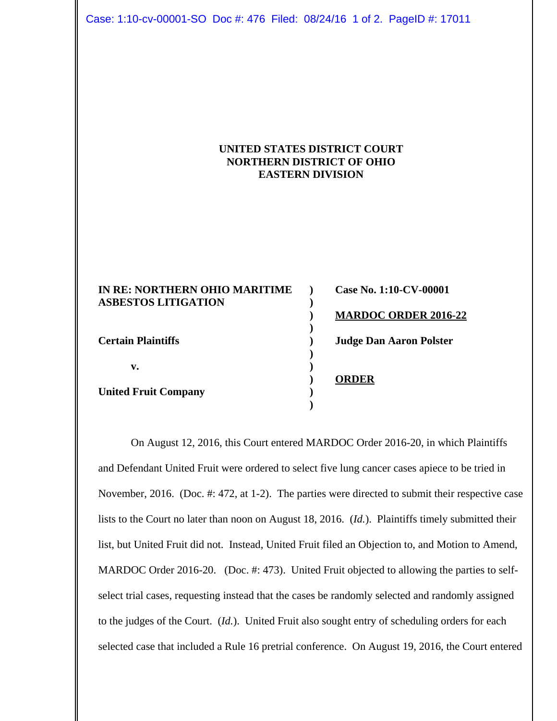Case: 1:10-cv-00001-SO Doc #: 476 Filed: 08/24/16 1 of 2. PageID #: 17011

## **UNITED STATES DISTRICT COURT NORTHERN DISTRICT OF OHIO EASTERN DIVISION**

| IN RE: NORTHERN OHIO MARITIME | Case No. 1:10-CV-00001         |
|-------------------------------|--------------------------------|
| <b>ASBESTOS LITIGATION</b>    |                                |
|                               | <b>MARDOC ORDER 2016-22</b>    |
|                               |                                |
| <b>Certain Plaintiffs</b>     | <b>Judge Dan Aaron Polster</b> |
|                               |                                |
| v.                            |                                |
|                               | <b>ORDER</b>                   |
| <b>United Fruit Company</b>   |                                |
|                               |                                |

On August 12, 2016, this Court entered MARDOC Order 2016-20, in which Plaintiffs and Defendant United Fruit were ordered to select five lung cancer cases apiece to be tried in November, 2016. (Doc. #: 472, at 1-2). The parties were directed to submit their respective case lists to the Court no later than noon on August 18, 2016. (*Id.*). Plaintiffs timely submitted their list, but United Fruit did not. Instead, United Fruit filed an Objection to, and Motion to Amend, MARDOC Order 2016-20. (Doc. #: 473). United Fruit objected to allowing the parties to selfselect trial cases, requesting instead that the cases be randomly selected and randomly assigned to the judges of the Court. (*Id.*). United Fruit also sought entry of scheduling orders for each selected case that included a Rule 16 pretrial conference. On August 19, 2016, the Court entered